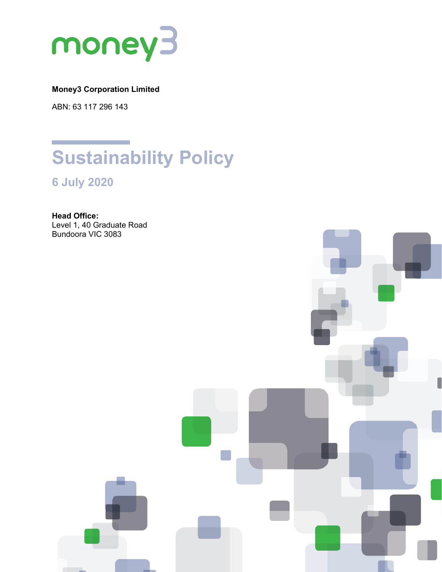

# **Money3 Corporation Limited**

ABN: 63 117 296 143



**6 July 2020**

**Head Office:** Level 1, 40 Graduate Road Bundoora VIC 3083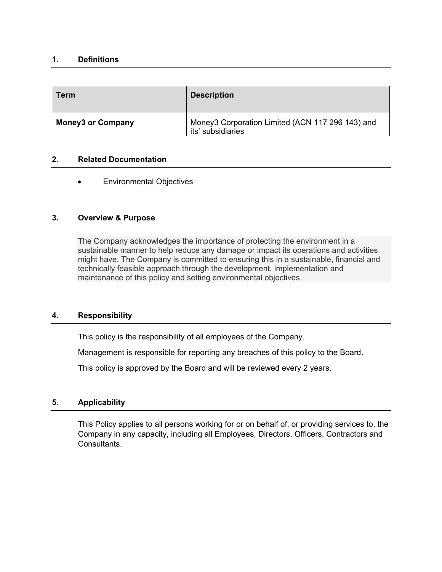## **1. Definitions**

| <b>Term</b>              | <b>Description</b>                                                    |
|--------------------------|-----------------------------------------------------------------------|
| <b>Money3 or Company</b> | Money3 Corporation Limited (ACN 117 296 143) and<br>its' subsidiaries |

# **2. Related Documentation**

• Environmental Objectives

## **3. Overview & Purpose**

The Company acknowledges the importance of protecting the environment in a sustainable manner to help reduce any damage or impact its operations and activities might have. The Company is committed to ensuring this in a sustainable, financial and technically feasible approach through the development, implementation and maintenance of this policy and setting environmental objectives.

#### **4. Responsibility**

This policy is the responsibility of all employees of the Company.

Management is responsible for reporting any breaches of this policy to the Board.

This policy is approved by the Board and will be reviewed every 2 years.

# **5. Applicability**

This Policy applies to all persons working for or on behalf of, or providing services to, the Company in any capacity, including all Employees, Directors, Officers, Contractors and Consultants.